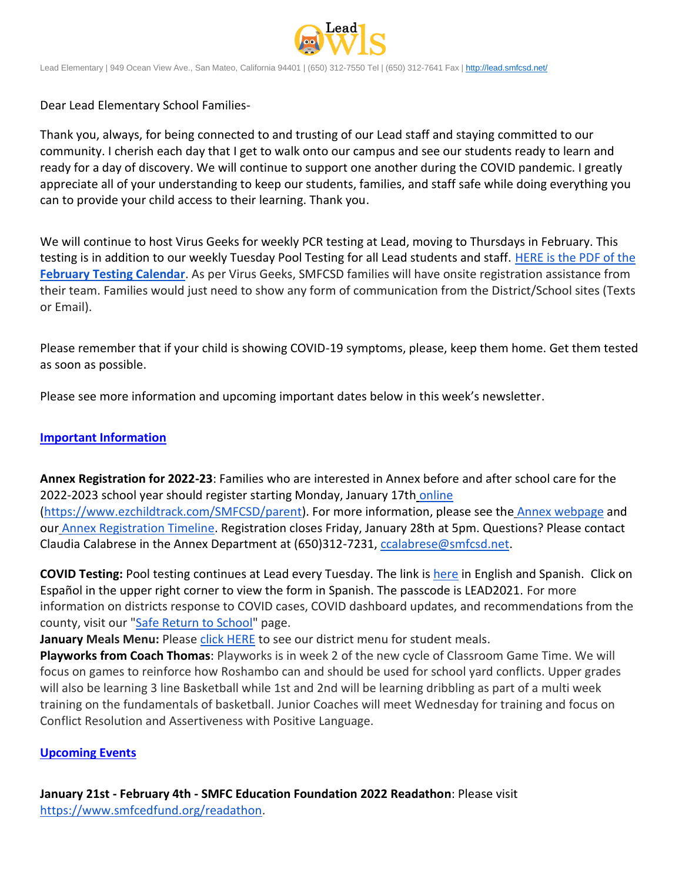

Lead Elementary | 949 Ocean View Ave., San Mateo, California 94401 | (650) 312-7550 Tel | (650) 312-7641 Fax [| http://lead.smfcsd.net/](http://lead.smfcsd.net/)

Dear Lead Elementary School Families-

Thank you, always, for being connected to and trusting of our Lead staff and staying committed to our community. I cherish each day that I get to walk onto our campus and see our students ready to learn and ready for a day of discovery. We will continue to support one another during the COVID pandemic. I greatly appreciate all of your understanding to keep our students, families, and staff safe while doing everything you can to provide your child access to their learning. Thank you.

We will continue to host Virus Geeks for weekly PCR testing at Lead, moving to Thursdays in February. This testing is in addition to our weekly Tuesday Pool Testing for all Lead students and staff. [HERE is the PDF of the](https://drive.google.com/file/d/1hcCEV5XwzEBar3iGunllxhh-HhBzVwwP/view?usp=sharing) **[February Testing Calendar](https://drive.google.com/file/d/1hcCEV5XwzEBar3iGunllxhh-HhBzVwwP/view?usp=sharing)**. As per Virus Geeks, SMFCSD families will have onsite registration assistance from their team. Families would just need to show any form of communication from the District/School sites (Texts or Email).

Please remember that if your child is showing COVID-19 symptoms, please, keep them home. Get them tested as soon as possible.

Please see more information and upcoming important dates below in this week's newsletter.

## **Important Information**

**Annex Registration for 2022-23**: Families who are interested in Annex before and after school care for the 2022-2023 school year should register starting Monday, January 17th [online](https://www.ezchildtrack.com/SMFCSD/parent) [\(https://www.ezchildtrack.com/SMFCSD/parent\)](https://www.ezchildtrack.com/SMFCSD/parent). For more information, please see the [Annex webpage](http://www.smfcsd.net/en/annex-afterschool/program-overview.html) and our [Annex Registration Timeline.](http://www.smfcsd.net/en/assets/files/Communications/documents/annex/Registration%20Timeline%20Eng%20Span%202022-2023%20(2).pdf) Registration closes Friday, January 28th at 5pm. Questions? Please contact Claudia Calabrese in the Annex Department at (650)312-7231, ccalabrese@smfcsd.net.

**COVID Testing:** Pool testing continues at Lead every Tuesday. The link is [here](https://testcenter.concentricbyginkgo.com/minor-consent/) in English and Spanish. Click on Español in the upper right corner to view the form in Spanish. The passcode is LEAD2021. For more information on districts response to COVID cases, COVID dashboard updates, and recommendations from the county, visit our ["Safe Return to School"](http://www.smfcsd.net/en/covid-19-updates-resources/covid-19-updates.html) page.

**January Meals Menu:** Please [click HERE](https://drive.google.com/file/d/1w0U2Y1fY4mz4uFQH1Ruzq5o0fivbXrWj/view?usp=sharing) to see our district menu for student meals.

**Playworks from Coach Thomas**: Playworks is in week 2 of the new cycle of Classroom Game Time. We will focus on games to reinforce how Roshambo can and should be used for school yard conflicts. Upper grades will also be learning 3 line Basketball while 1st and 2nd will be learning dribbling as part of a multi week training on the fundamentals of basketball. Junior Coaches will meet Wednesday for training and focus on Conflict Resolution and Assertiveness with Positive Language.

## **Upcoming Events**

**January 21st - February 4th - SMFC Education Foundation 2022 Readathon**: Please visit [https://www.smfcedfund.org/readathon.](https://www.smfcedfund.org/readathon)